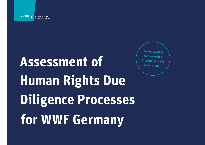

# **Assessment of Human Rights Due Diligence Processes for WWF Germany**

*Focus: Wildlife Conservation Projects*/*Specific Protected Areas*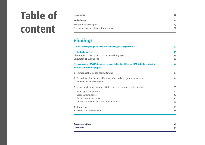## **Table of content**

| <b>Introduction</b>                   | 04 |
|---------------------------------------|----|
| <b>Methodology</b>                    | 06 |
| Key guiding principles                | 06 |
| Overview: project phases & main tasks | 07 |

### *Findings*

| I. WWF Germany: its position within the WWF global organisation                                                        | 10             |
|------------------------------------------------------------------------------------------------------------------------|----------------|
| <b>II. Context analysis</b><br>Challenges in the context of conservation projects<br>Summary of allegations            | 13<br>13<br>16 |
| III. Assessment of WWF Germany's human rights due diligence (HRDD) in the context of<br>wildlife conservation projects | 17             |
| 1. Human rights policy commitment                                                                                      | 18             |
| 2. Procedures for the identification of actual and potential adverse<br>impacts on human rights                        | 21             |
| 3. Measures to address (potentially) adverse human rights impacts                                                      | 26             |
| Security management                                                                                                    | 27             |
| Local communities                                                                                                      | 29             |
| Government relations                                                                                                   | 30             |
| Information sources - Use of informants                                                                                | 31             |
| 4. Reporting                                                                                                           | 33             |
| 5. Grievance mechanisms                                                                                                | 35             |

| <b>Recommendations</b> | 38 |
|------------------------|----|
| <b>Conclusion</b>      | 44 |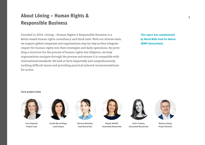## **About Löning – Human Rights & Responsible Business**

Founded in 2014, Löning – Human Rights & Responsible Business is a Berlin-based human rights consultancy and think tank. With our diverse team, we support global companies and organisations step-by-step as they integrate respect for human rights into their strategies and daily operations. By providing a structure for the process of human rights due diligence, we help organizations navigate through the process and ensure it is compatible with international standards. We look at facts impartially and comprehensively, tackling difficult issues and providing practical tailored recommendations for action.

**This report was commissioned by World Wide Fund For Nature (WWF) Deutschland.**

#### **Core project team**



**Lisa Szeponik, Project Lead**



**Cecilia Barral Diego, Lead Analyst**



**Theresa Quiachon, Lead Researcher**



**Raquel Althoff, Associated Researcher**



**Claire Treinen, Associated Researcher**



**Markus Löning, Project Director**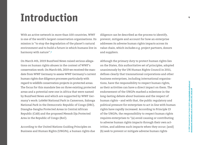## <span id="page-3-0"></span>**Introduction**

With an active network in more than 100 countries, WWF is one of the world's largest conservation organisations. Its mission is "to stop the degradation of the planet's natural environment and to build a future in which humans live in harmony with nature".**1**

On March 4th, 2019 BuzzFeed News raised serious allegations on human rights abuses in the context of WWF's conservation work. On March 6th, 2019 we received the mandate from WWF Germany to assess WWF Germany's current human rights due diligence processes particularly with regard to wildlife conservation projects in protected areas. The focus for this mandate lies on three existing protected areas and a potential new one in Africa that were named by BuzzFeed News and which are supported by WWF Germany's work: Lobéké National Park in Cameroon, Salonga National Park in the Democratic Republic of Congo (DRC), Dzangha-Sangha Protected Areas in Central African Republic (CAR) and the proposed Messok Dja Protected Area in the Republic of Congo (RoC).

According to the United Nations Guiding Principles on Business and Human Rights (UNGPs), a human rights due

diligence can be described as the process to identify, prevent, mitigate and account for how an enterprise addresses its adverse human rights impacts across its value chain, which includes e.g. project partners, donors and suppliers.

Although the primary duty to protect human rights lies on the States, this authoritative set of principles, adopted unanimously by the UN Human Rights Council in 2011, defines clearly that transnational corporations and other business enterprises, including international organisations, have the responsibility to respect human rights, as their activities can have a direct impact on them. The endorsement of the UNGPs marked a milestone in the long-lasting debate about business and the respect of human rights – and with that, the public regulatory and political pressure for enterprises to act in line with human rights have rapidly increased. According to Principle 13 of the UNGPs, the responsibility to respect human rights requires enterprises to "(a) avoid causing or contributing to adverse human rights impacts through their own activities, and address such impacts when they occur; [and] (b) seek to prevent or mitigate adverse human rights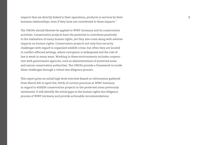impacts that are directly linked to their operations, products or services by their **5** business relationships, even if they have not contributed to those impacts."

The UNGPs should likewise be applied to WWF Germany and its conservation activities. Conservation projects have the potential to contribute positively to the realisation of many human rights, yet they also come along with adverse impacts on human rights. Conservation projects not only face security challenges with regard to organised wildlife crime, but often they are located in conflict-affected settings, where corruption is widespread and the rule of law is weak in many ways. Working in these environments includes cooperation with government agencies, such as administrations of protected areas and nature conservation authorities. The UNGPs provide a framework to tackle these challenges through a robust due diligence process.

This report gives an initial high-level overview (based on information gathered from March 6th to April 3rd, 2019) of current practices at WWF Germany in regard to wildlife conservation projects in the protected areas previously mentioned. It will identify the initial gaps in the human rights due diligence process of WWF Germany and provide actionable recommendations.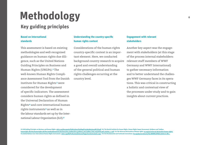## <span id="page-5-0"></span>**Methodology**

### **Key guiding principles**

#### **Based on international standards**

This assessment is based on existing methodologies and well-recognised guidance on human rights due diligence, such as the United Nations Guiding Principles on Business and Human Rights (UNGPs).**2** The well-known Human Rights Compliance Assessment Tool from the Danish Institute for Human Rights **3** were considered for the development of specific indicators. The assessment considers human rights as defined in the Universal Declaration of Human Rights **4** and core international human rights instruments **5** as well as in the labour standards set up by the International Labour Organization (ILO).**6**

#### **Understanding the country-specific human rights context**

Considerations of the human rights country-specific context is an important element. Here, we conducted background country research to acquire relevant staff members of WWF a good and overall understanding of the general political and human rights challenges occurring at the country level.

#### **Engagement with relevant stakeholders**

Another key aspect was the engagement with stakeholders (at this stage of the process internal stakeholders: Germany and WWF International) to gather necessary information and to better understand the challenges WWF Germany faces in its operations. This was critical in constructing a holistic and contextual view of the processes under study and to gain insights about current practices.

© 2 UN Guiding Principles on Business and Human Rights: [ohchr.org/Documents/Publications/GuidingPrinciplesBusinessHR\\_EN.pdf](https://www.ohchr.org/Documents/Publications/GuidingPrinciplesBusinessHR_EN.pdf) © 3 The Danish Institute for Human Rights, Human Rights Impact Assessment: Guidance and Toolbox: [humanrights.dk/sites/humanrights.dk/files/media/dokumenter/business/hria\\_toolbox/hria\\_guidance\\_and\\_toolbox\\_final\\_may22016.pdf\\_223795\\_1\\_1.pdf](https://www.humanrights.dk/sites/humanrights.dk/files/media/dokumenter/business/hria_toolbox/hria_guidance_and_toolbox_final_may22016.pdf_223795_1_1.pdf) @4 The Universal Declaration of Human rights: un.org/en/universal-declaration-hum ⊕5 United Nations Core International Human Rights Instruments: [ohchr.org/EN/ProfessionalInterest/Pages/CoreInstruments.aspx](https://www.ohchr.org/EN/ProfessionalInterest/Pages/CoreInstruments.aspx) ⊕6 ILO (Fundamental and Technical) Conventions: ilo.org/dyn/normlex/en/f?p=NORMLEXPUB:12000:0::NO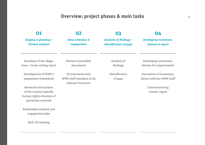## **Overview: project phases & main tasks**

<span id="page-6-0"></span>

|                                                                             | 02                                                                   | 03                                                             | 04                                                   |
|-----------------------------------------------------------------------------|----------------------------------------------------------------------|----------------------------------------------------------------|------------------------------------------------------|
| Scoping & planning -<br><b>Context analysis</b>                             | <b>Data collection &amp;</b><br>engagement                           | <b>Analysis of findings -</b><br><b>Identification of gaps</b> | <b>Developing recommen-</b><br>dations & report      |
| Summary of the allega-<br>tions - Cross-cutting topics                      | Review of provided<br>documents                                      | Analysis of<br>findings                                        | Developing recommen-<br>dations for improvement      |
| Development of WWF's<br>assessment framework                                | 10 Interviews with<br>WWF staff members of all<br>relevant functions | Identification<br>of gaps                                      | Discussion of recommen-<br>dation with key WWF staff |
| Research and analysis                                                       |                                                                      |                                                                | Communicating                                        |
| of the country-specific<br>human rights situation of<br>operating countries |                                                                      |                                                                | results: report                                      |
| Stakeholder analysis and<br>engagement plan                                 |                                                                      |                                                                |                                                      |
| Kick-off meeting                                                            |                                                                      |                                                                |                                                      |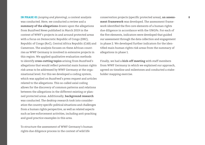**IN PHASE 01** *(scoping and planning),* a context analysis **8** conservation projects (specific protected areas), **an assess**was conducted. Here, we conducted a review and a **summary of the allegations** drawn upon the allegations from BuzzFeed News published in March 2019 in the context of WWF's projects in and around protected areas with a focus on Democratic Republic of Congo (DRC), Republic of Congo (RoC), Central Africa Republic (CAR) and Cameroon. The analysis focuses on these African countries as WWF Germany is involved in extensive projects in this region. We applied qualitative evaluation methods to identify **cross-cutting topics** arising from BuzzFeed's allegations that would reflect potential main human rights risk areas to be addressed by WWF Germany at the organisational level. For this we developed a coding system, which was applied on BuzzFeed's press request and articles related to the allegations. This so-called axial coding allows for the discovery of common patterns and relations between the allegations in the different existing or planned protected areas. Additionally, **background research** was conducted. The desktop research took into consideration the country specific political situations and challenges from a human rights perspective, as well as related aspects such as law enforcement activities, including anti-poaching and good practice examples in this area.

To structure the assessment of WWF Germany's human rights due diligence process in the context of wild life

**ment framework** was developed. The assessment framework identified the five core elements of a human rights due diligence in accordance with the UNGPs. For each of the five elements, indicators were developed that guided our assessment through the data collection and engagement in phase 2. We developed further indicators for the identified main human rights risk areas from the summary of allegations in phase 1.

Finally, we had a **kick-off meeting** with staff members from WWF Germany in which we explained our approach, agreed on timeline and milestones and conducted a stakeholder mapping exercise.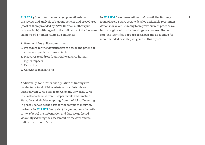**PHASE 2** *(data collection and engagement)* entailed **9** In **PHASE 4** *(recommendations and report),* the findings the review and analysis of current policies and procedures (most of them provided by WWF Germany, others publicly available) with regard to the indicators of the five core elements of a human rights due diligence:

- 1. Human rights policy commitment
- 2. Procedure for the identification of actual and potential adverse impacts on human rights
- 3. Measures to address (potentially) adverse human rights impacts
- 4. Reporting
- 5. Grievance mechanisms

Additionally, for further triangulation of findings we conducted a total of 10 semi-structured interviews with relevant WWF staff from Germany as well as WWF International from different departments and functions. Here, the stakeholder mapping from the kick-off meeting in phase 1 served as the basis for the sample of interview partners. In **PHASE 3** *(analysis of the findings and identification of gaps)* the information and data we gathered was analysed using the assessment framework and its indicators to identify gaps.

from phase 1-3 were used to develop actionable recommendations for WWF Germany to improve current practices on human rights within its due diligence process. Therefore, the identified gaps are described and a roadmap for recommended next steps is given in this report.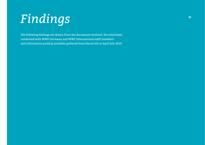## <span id="page-9-0"></span>**<sup>10</sup>** *Findings*

The following findings are drawn from the documents received, the interviews conducted with WWF Germany and WWF International staff members and information publicly available gathered from March 6th to April 3rd, 2019.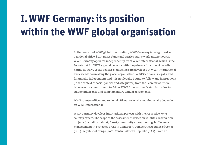## **I. WWF Germany: its position within the WWF global organisation**

In the context of WWF global organisation, WWF Germany is categorised as a national office, i.e. it raises funds and carries out its work autonomously. WWF Germany operates independently from WWF International, which is the Secretariat for WWF's global network with the primary function of coordinating its work. Social policies & guidelines are developed at WWF International and cascade down along the global organisation. WWF Germany is legally and financially independent and it is not legally bound to follow any instructions (in the context of social policies and safeguards) from the Secretariat. There is however, a commitment to follow WWF International's standards due to trademark license and complementary annual agreements.

WWF country offices and regional offices are legally and financially dependent on WWF International.

WWF Germany develops international projects with the respective WWF country offices. The scope of the assessment focuses on wildlife conservation projects (including habitat, forest, community strengthening, buffer zone management) in protected areas in Cameroon, Democratic Republic of Congo (DRC), Republic of Congo (RoC), Central African Republic (CAR). From an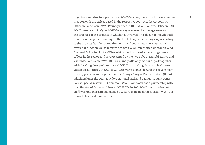organisational structure perspective, WWF Germany has a direct line of commu- **12** nication with the offices based in the respective countries (WWF Country Office in Cameroon; WWF Country Office in DRC; WWF Country Office in CAR; WWF presence in RoC), as WWF Germany oversees the management and the progress of the projects in which it is involved. This does not include staff or office management oversight. The level of supervision may vary according to the projects (e.g. donor requirements) and countries. WWF Germany's oversight function is also intertwined with WWF International through WWF Regional Office for Africa (ROA), which has the role of supervising country offices in the region and is represented by the two hubs in Nairobi, Kenya and Yaoundé, Cameroon. WWF DRC co-manages Salonga national park together with the Congolese park authority ICCN (Institut Congolais pour la Conservation de la Nature). In CAR, WWF CAR works alongside with the government and supports the management of the Dzanga-Sangha Protected Area (DSPA), which includes the Dzanga-Ndoki National Park and Dzanga-Sangha Dense Forest Special Reserve. In Cameroon, WWF Cameroon has a partnership with the Ministry of Fauna and Forest (MINFOF). In RoC, WWF has no office but staff working there are managed by WWF Gabon. In all these cases, WWF Germany holds the donor contract.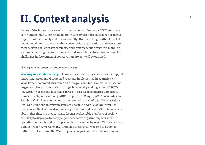## <span id="page-12-0"></span>**II. Context analysis**

As one of the largest conservation organisations in Germany, WWF Germany contributes significantly to biodiversity conservation in selected key ecological regions, both nationally and internationally. This does not go without its chal lenges and dilemmas. As any other conservation organisation, WWF Germany faces serious challenges in complex environments while designing, planning and implementing its projects in protected areas. In the following, general key challenges in the context of conservation projects will be outlined.

#### **Challenges in the context of conservation projects**

**Working in unstable settings –** Many international projects such as the support and/or management of protected areas are implemented in countries with weak law enforcement structures. The Congo Basin, for example, is the second largest rainforest in the world with high biodiversity making it one of WWF's key working areas and it spreads across the assessed countries Cameroon, Democratic Republic of Congo (DRC), Republic of Congo (RoC), Central African Republic (CAR). These countries can be referred to as conflict-affected settings. Civil war situations are very present, are unstable, and rule of law is weak in many ways. The likelihood and severity of human rights violations is consider ably higher than in other settings, the most vulnerable members of society are likely to disproportionately experience more negative impacts, and the operating context is highly complex with many actors involved. This also entails a challenge for WWF Germany: protected areas usually belong to national authorities. Therefore, the WWF depends on government collaboration and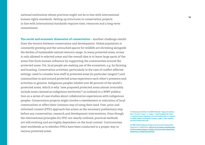**<sup>14</sup>** national institutions whose practices might not be in line with international human rights standards. Setting up structures in conservation projects in line with international standards requires time, resources and a long-term commitment.

**The social and economic dimension of conservation –** Another challenge results from the tension between conservation and development. Global population is constantly growing and the untouched spaces for wildlife are shrinking alongside the decline of sustainable natural resource usage. In many protected areas, access is only allowed to selected areas and the overall idea is to leave large parts of the areas free from human influence by supporting the communities around the protected areas. Yet, local people are making use of the ecosystem, e.g. by farming and hunting. Conservation activities, particularly in the case of conflict affected settings, need to consider how staff in protected areas (in particular rangers**7**) and communities in and around protected areas experience each other's presence and activities in general. Indigenous peoples inhabit over 85 percent of the world's protected areas, which is why 'new proposed protected areas almost invariably include areas claimed as indigenous territories'**8** as outlined in a WWF publication on a series of case studies about collaborative experiences with indigenous peoples. Conservation projects might involve a resettlement or relocation of local communities or affect their common way of using their land. Free, prior and informed consent (FPIC) approach has arisen as the necessary preliminary step before any conservation, research and development interventions. Even though the international principles for FPIC are clearly outlined, practical methods are still evolving and are highly dependent on the local context. Controversies exist worldwide as to whether FPICs have been conducted in a proper way in various protected areas.

**↘7 Following the definition in the WWF Publication "Rangers Perceptions – Africa" the word "ranger" or "rangers" is used throughout this report "as a general term to collectively refer to all frontline staff. It is inclusive of wildlife wardens, forest guards, foresters, rangers, scouts, watchers and other frontline field staff."**

**↘8 WWF (2000) Indigenous Peoples and Conservation Organizations: Experiences in Collaboration: [c402277.ssl.cf1.rackcdn.com/publications/](https://c402277.ssl.cf1.rackcdn.com/publications/372/files/original/Indigenous_Peoples_and_Conservation_Organizations_Experiences_in_Collaboration.pdf?1345) [372/files/original/Indigenous\\_Peoples\\_and\\_Conservation\\_Organizations\\_](https://c402277.ssl.cf1.rackcdn.com/publications/372/files/original/Indigenous_Peoples_and_Conservation_Organizations_Experiences_in_Collaboration.pdf?1345) [Experiences\\_in\\_Collaboration.pdf?1345](https://c402277.ssl.cf1.rackcdn.com/publications/372/files/original/Indigenous_Peoples_and_Conservation_Organizations_Experiences_in_Collaboration.pdf?1345)**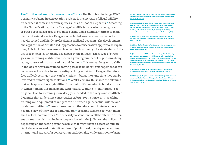**The "militarisation" of conservation efforts –** The third big challenge WWF Germany is facing in conservation projects is the increase of illegal wildlife trade when it comes to certain species such as rhinos or elephants.**9** According to the United Nations, the trafficking of wildlife is increasingly recognised as both a specialised area of organised crime and a significant threat to many plant and animal species. Rangers in protected areas are confronted with heavily armed and highly professionalised illegal poachers. The development and application of "militarised" approaches to conservation appear to be expanding. This includes measures such as counterinsurgency-like strategies and the use of technologies originally developed by the military. These type of strategies are becoming institutionalised in a growing number of regions involving states, conservation organisations and donors.**10** This comes along with a shift in the way rangers are trained, moving away from holistic management of protected areas towards a focus on anti-poaching activities.**11** Rangers therefore face difficult settings – they can be victims,**12** but at the same time they can be involved in human rights violations.**13** WWF Germany thus faces the dilemma that such approaches might differ from their initial mission to build a future in which humans live in harmony with nature. Working in "militarised" settings can lead to becoming more deeply embedded in the very conflict afflicted dynamics that undermine conservation efforts. For instance, anti-poaching trainings and equipment of rangers can be turned against actual wildlife and local communities.**14** These approaches can therefore contribute to a more negative view of the work of park rangers,**15** sparking tensions between them and the local communities. The necessity to sometimes collaborate with different partners (which can include cooperation with the judiciary, the police and depending on the setting even the army) that might have a record of human right abuses can lead to significant loss of public trust, thereby undermining international support for conservation. Additionally, while attention to bring

#### **↘9 World Wildlife Crime Report: Trafficking in protected species (2016): [unodc.org/documents/data-and-analysis/wildlife/World\\_Wildlife\\_Crime\\_](https://www.unodc.org/documents/data-and-analysis/wildlife/World_Wildlife_Crime_Report_2016_final.pdf) [Report\\_2016\\_final.pdf](https://www.unodc.org/documents/data-and-analysis/wildlife/World_Wildlife_Crime_Report_2016_final.pdf)**

**↘10 See e.g.: Duffy, R., 2016. War by conservation. Geoforum 69, 238– 248.; Büscher, B., Fletcher, R., 2018. Under pressure: conceptualising political ecologies of green wars. Conserv. Soc. 16 (2), 105–113.; Massé, F. (2019). Anti-poaching's politics of (in) visibility: Representing nature and conservation amidst a poaching crisis. Geoforum, 98, 1-14.**

**↘11 Lunstrum, E., 2014. Green militarization: anti-poaching efforts and the spatial contours of Kruger National Park. Ann. Assoc. Am. Geogr. 104 (4), 816–832.**

**↘12 Life on the Frontline 2018. A global survey of the working conditions of rangers: [wwf.de/fileadmin/fm-wwf/Publikationen-PDF/WWF-Rangers\\_](https://www.wwf.de/fileadmin/fm-wwf/Publikationen-PDF/WWF-Rangers_Survey_Report-181005.pdf) [Survey\\_Report-181005.pdf](https://www.wwf.de/fileadmin/fm-wwf/Publikationen-PDF/WWF-Rangers_Survey_Report-181005.pdf)**

**↘13 A research in north CAR showed that providing militarized trainings and equipment to rangers can be a risk for conservation organizations, because there are instances where the new skills and weaponry are turned back on wildlife and local communities. See: Lombard, L., 2016. Threat economies and armed conservation in Northeastern Central African Republic. Geoforum 69, 218–226.**

**↘14 Lombard, L., 2016. Threat economies and armed conservation in Northeastern Central African Republic. Geoforum 69, 218–226.**

**↘15 Verweijen, J., Marijnen, E., 2018. The counterinsurgency/conservation nexus: guerrilla livelihoods and the dynamics of conflict and violence in the Virunga National Park, Democratic Republic of the Congo. J. Peasant Stud. 45 (2), 300–320.**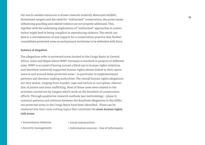<span id="page-15-0"></span>**<sup>16</sup>** the much-needed resources is drawn towards violently destroyed wildlife, threatened rangers and the need for "militarised" conservation, the social causes influencing poaching and related violence are not properly addressed. This, together with the underlying implications of "militarised" approaches in conservation might lead to being complicit in reproducing violence. The result can lead to a normalisation of and support for a conservation practice that further consolidates protected areas as exclusionary territories to be defended with force.

#### **Summary of allegations**

The allegations refer to protected areas located in the Congo Basin in Central Africa, India and Nepal where WWF Germany is involved in projects of different sizes. WWF is accused of having turned a blind-eye to human rights violations and therefore indirectly supported human rights abuses linked to their operations in and around these protected areas – in particular to implementation partners and decision-making authorities. The overall human rights allegations are very severe, ranging from murder, rape and torture to corruption, obstruction of justice and arms trafficking. Most of these cases were related to the activities carried out by rangers which work on the frontline of conservation efforts. Through qualitative research methods (see methodology – phase 1) common patterns and relations between the BuzzFeed allegations in the different protected areas in the Congo Basin have been identified. These can be clustered into four cross-cutting topics that constitute the **main human rights risk areas:**

• Government relations

• Local communities

• Security management

• Information sources – Use of informants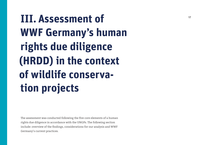<span id="page-16-0"></span> **III. Assessment of WWF Germany's human rights due diligence (HRDD) in the context of wildlife conserva tion projects** 

The assessment was conducted following the five core elements of a human rights due diligence in accordance with the UNGPs. The following section include: overview of the findings, considerations for our analysis and WWF Germany's current practices.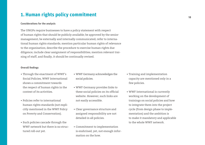### <span id="page-17-0"></span>**1. Human rights policy commitment**

#### **Considerations for the analysis**

The UNGPs require businesses to have a policy statement with respect of human rights that should be publicly available; be approved by the senior management; be externally and internally communicated; refer to international human rights standards; mention particular human rights of relevance to the organisation; describe the procedure to exercise human rights due diligence; include clear assignment of responsibilities; mention relevant training of staff, and finally, it should be continually revised.

#### **Overall findings**

- Through the enactment of WWF's Social Policies, WWF International shows a commitment towards the respect of human rights in the context of its activities.
- Policies refer to international human rights standards (not explicitly mentioned in the WWF Policy on Poverty and Conservation).
- Such policies cascade through the WWF network but there is no structured roll-out yet.
- WWF Germany acknowledges the social policies.
- WWF Germany provides links to these social policies on its official website. However, such links are not easily accessible.
- Clear governance structure and assigned responsibility are not detailed in all policies.
- Commitment to implementation is enshrined, yet, not enough information on the how.
- Training and implementation capacity are mentioned only in a few policies.
- WWF International is currently working on the development of trainings on social policies and how to integrate them into the project cycle (from design phase to implementation) and the ambition is to make it mandatory and applicable to the whole WWF network.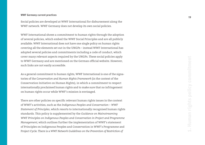#### **WWF Germany current practices**

Social policies are developed at WWF International for disbursement along the WWF network. WWF Germany does not develop its own social policies.

WWF International shows a commitment to human rights through the adoption of several policies, which embed the WWF Social Principles and are all publicly available. WWF International does not have one single policy on human rights covering all the elements set out in the UNGPs – instead WWF International has adopted several policies and commitments including a code of conduct, which cover many relevant aspects required by the UNGPs. These social policies apply to WWF Germany and are mentioned on the German official website. However, such links are not easily accessible.

As a general commitment to human rights, WWF International is one of the signatories of the C*onservation and Human Rights Framework* (in the context of the Conservation Initiative on Human Rights), in which a commitment to respect internationally proclaimed human rights and to make sure that no infringement on human rights occur while WWF's mission is envisaged.

There are other policies on specific relevant human rights issues in the context of WWF's activities, such as the *Indigenous Peoples and Conservation – WWF Statement of Principles*, which resorts to internationally recognised human rights standards. This policy is supplemented by the *Guidance on Mainstreaming WWF Principles on Indigenous Peoples and Conservation in Project and Programme Management,* which outlines further the implementation of WWF's statement of Principles on Indigenous Peoples and Conservation in WWF's Programme and Project Cycle. There is a *WWF Network Guidelines on the Prevention of Restriction of*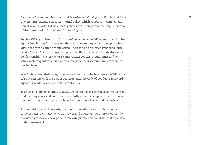*Rights and Involuntary Relocation and Resettlement of Indigenous Peoples and Local* **20** *Communities,* categorised as an internal policy, which supports the implementa tion of WWF's Social Policies. These policies constitute part of the implementation of the Conservation Initiative on Human Rights.

*The WWF Policy on Poverty and Conservation* embodies WWF's commitment to find equitable solutions for people and the environment. Implementation procedures within the organisation are envisaged. There is also a policy on gender equality, i.e. *the Gender Policy,* putting an emphasis on the importance of mainstreaming gender sensitivity across WWF's conservation policies, programmes and acti vities, including internal human resource policies, procedures and governance mechanisms.

WWF International also adopted a Code of Conduct, which embraces WWF's Code of Ethics. In line with the UNGPs requirements, the Code of Conduct's foreword is signed by WWF President and Director General.

Training and implementation capacity are mentioned in a few policies. We learned that trainings on social policies are currently under development – as the embed ment of such policies in practice have been considered weak and inconsistent.

Accountability and clear assignment of responsibilities are detailed only in some policies, e.g. *WWF Policy on Poverty and Conservation.* There is currently a revision process on social policies and safeguards. This could affect the policies under assessment.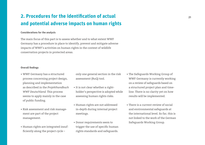### <span id="page-20-0"></span>**2. Procedures for the identification of actual and potential adverse impacts on human rights**

#### **Considerations for the analysis**

The main focus of this part is to assess whether and to what extent WWF Germany has a procedure in place to identify, prevent and mitigate adverse impacts of WWF's activities on human rights in the context of wildlife conservation projects in protected areas.

#### **Overall findings**

- WWF Germany has a structured process concerning project design, planning and implementation as described in the *Projekthandbuch WWF Deutschland.* This process seems to apply mainly in the case of public funding.
- Risk assessment and risk management are part of the project management.
- Human rights are integrated insufficiently along the project cycle –

only one general section in the risk assessment (RuQ) tool.

- It is not clear whether a rightholder's perspective is adopted while assessing human rights risks.
- Human rights are not addressed in-depth during internal project meetings.
- Donor requirements seem to trigger the use of specific human rights standards and safeguards.
- The Safeguards Working Group of WWF Germany is currently working on a review of safeguards based on a structured project plan and timeline. There is no clarity yet on how results will be implemented.
- There is a current review of social and environmental safeguards at the international level. So far, this is not linked to the work of the German Safeguards Working Group.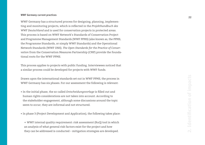#### **WWF Germany current practices**

WWF Germany has a structured process for designing, planning, implemen ting and monitoring projects, which is reflected in the *Projekthandbuch des WWF Deutschland* and is used for conservation projects in protected areas. This process is based on WWF Network's Standards of Conservation Project and Programme Management Standards (WWF PPMS) (also known as, the PPMS, the Programme Standards, or simply WWF Standards) and the Operational Network Standards (WWF ONS). *The Open Standards for the Practice of Conser vation* from the Conservation Measures Partnership (CMP) provide the founda tional roots for the WWF PPMS.

This process applies to projects with public funding. Interviewees noticed that a similar process could be developed for projects with WWF funds.

Drawn upon the international standards set out in WWF PPMS, the process in WWF Germany has six phases. For our assessment the following is relevant:

• In the initial phase, the so-called *Entscheidungsvorlage* is filled out and human rights considerations are not taken into account. According to the stakeholder engagement, although some discussions around the topic seem to occur, they are informal and not structured.

• In phase 3 (Project Development and Application), the following takes place:

→ WWF internal quality requirement: risk assessment (RuQ) tool in which an analysis of what general risk factors exist for the project and how they can be addressed is conducted – mitigation strategies are developed.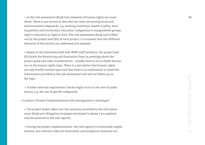→ In the risk assessment (RuQ) tool, elements of human rights are consi- **23** dered. There is one section to describe the risks concerning social and environmental safeguards, e.g. working conditions, health & safety, land acquisition and involuntary relocation, indigenous or marginalised groups, right to education or right to food. This risk assessment (RuQ) tool is filled out by the project lead (PL) of each project. It is unclear how the different elements of this section are addressed and assessed.

 $\rightarrow$  Based on the interviews held with WWF staff members, the project lead (PL) briefs the Monitoring and Evaluation Team in meetings about the project goals and risks considerations – usually there is no in-depth discussion on the human rights topic. There is a perception that human rights are only briefly touched upon and that there is no mechanism to check the information provided in the risk assessment tool and no follow-up on the topic.<br>
→ Further external requirement checks might occur in the case of public

donors, e.g. the use of specific safeguards.

• In phase 5 (Project Implementation) risk management is envisaged.

 $\rightarrow$  The project leader takes over the summary provided by the risk assessment (RuQ) tool. Mitigation strategies developed in phase 3 are updated and documented in the risk registry.

 $\rightarrow$  During the project implementation, the risk registry is continually supplemented, non-relevant risks are eliminated, and mitigation measures are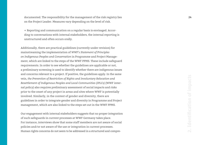documented. The responsibility for the management of the risk registry lies **24** on the Project Leader. Measures vary depending on the level of risk. → Reporting and communication on a regular basis is envisaged. Accor-

ding to conversations with internal stakeholders, the internal reporting is unstructured and often occurs orally.

Additionally, there are practical guidelines (currently under revision) for mainstreaming the implementation of *WWF's Statement of Principles on Indigenous Peoples and Conservation* in Programme and Project Manage ment, which are linked to the steps of the WWF PPMS. These include safeguard requirements. In order to see whether the guidelines are applicable or not, a preliminary screening is used to identify whether there are indigenous issues and concerns relevant to a project. If positive, the guidelines apply. In the same vein, *the Prevention of Restriction of Rights and Involuntary Relocation and Resettlement of Indigenous Peoples and Local Communities (IPLCs)* (WWF internal policy) also requires preliminary assessment of social impacts and risks prior to the onset of any project in areas and sites where WWF is potentially involved. Similarly, in the context of gender and diversity, there are guidelines in order to integrate gender and diversity in Programme and Project management, which are also linked to the steps set out in the WWF PPMS.

Our engagement with internal stakeholders suggests that no proper integration of such safeguards in current processes at WWF Germany takes place. For instance, interviews show that some staff members are not aware of social policies and/or not aware of the use or integration in current processes. Human rights concerns do not seem to be addressed in a structured and compre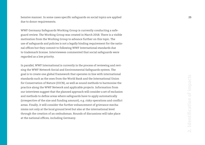hensive manner. In some cases specific safeguards on social topics are applied **25** due to donor requirements.

WWF Germany Safeguards Working Group is currently conducting a safeguard review. The Working Group was created in March 2018. There is a visible motivation from the Working Group to advance further on this topic. The use of safeguards and policies is not a legally binding requirement for the national offices but they commit to following WWF International standards due to trademark license. Interviewees commented that social safeguards were regarded as a low priority.

In parallel, WWF International is currently in the process of reviewing and revising the WWF Network Social and Environmental Safeguards system. The goal is to create one global framework that operates in line with international standards such as the ones from the World Bank and the International Union for Conservation of Nature (IUCN), as well as sound methods to harmonise the practice along the WWF Network and applicable projects. Information from our interviews suggest that the planned approach will consider a set of exclusion and methods to define areas where safeguards have to apply automatically (irrespective of the size and funding amount), e.g. risky operations and conflict areas. Finally, it will consider the further enhancement of grievance mecha nisms not only at the local ground level but also at the international level through the creation of an ombudsman. Rounds of discussions will take place at the national offices, including Germany.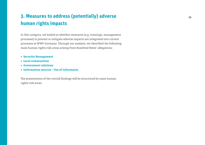## <span id="page-25-0"></span>**3. Measures to address (potentially) adverse human rights impacts**

In this category, we looked at whether measures (e.g. trainings, management processes) to prevent or mitigate adverse impacts are integrated into current processes at WWF Germany. Through our analysis, we identified the following main human rights risk areas arising from BuzzFeed News' allegations:

- **• Security Management**
- **• Local communities**
- **• Government relations**
- **• Information sources Use of informants**

The presentation of the overall findings will be structured by main human rights risk areas.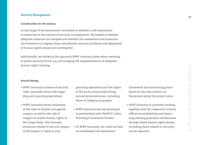#### <span id="page-26-0"></span>**Security Management**

#### **Considerations for the analysis**

At this stage of the assessment, we looked at whether a risk assessment is conducted in the context of security arrangements. We looked at whether adequate measures are adopted and whether the assessment and measures are reviewed on a regular basis and whether security incidents and allegations of human rights abuses are investigated.

Additionally, we looked at the approach WWF Germany takes when resorting to public security forces, e.g. encouraging the implementation of adequate human rights training.

#### **Overall findings**

- WWF Germany is aware of security risks, especially those risks regarding anti-poaching operations.
- WWF Germany shows awareness of the risks of violent acts against rangers, as well as the risk of rangers to violate human rights in the Congo Basin. This includes situations related to the non-respect of the suspect's rights in anti-
- poaching operations and the rights of the local communities living around protected areas, including those of indigenous peoples.
- WWF International has developed in partnership with TRAFFIC a Zero Poaching Framework/Toolkit.
- At WWF Germany, we could not find an established risk assessment

framework and monitoring procedures for security matters on the ground along the project cycle.

• WWF Germany is currently working together with the respective country offices on establishing and improving existing grievance mechanisms through which human rights abuses, including those related to security, can be reported.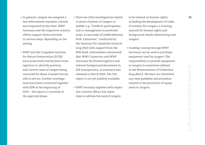- In general, rangers are assigned a **28** There are other investigations related law enforcement mandate, trained and employed by the state. WWF Germany and the respective country offices support those activities in various ways, depending on the setting.
- WWF and the Congolese Institute for Nature Preservation (ICCN) have proactively started joint investigations to identify previous and current cases of rangers being convicted for abuse of power but are still in service. Further investigations have been conducted together with KfW at the beginning of 2019 – the report is currently in the approval phase.
- to abuse of power of rangers in Lobéké, e.g. "Conflicts, participation and co-management in protected areas. A case study of Lobéké National Park, Cameroon", conducted by the Seminar für Ländliche Entwicklung (SLE) with support from the KfW Bank. Interviewees commented that WWF Cameroon and WWF Germany facilitated logistics and relevant background documents in full transparency. A summary was released in March 2019. The full report is not yet publicly available.
- WWF Germany together with respective country offices has taken steps to address the need of rangers
- to be trained on human rights, including the development of codes of conduct for rangers, a training manual for human rights and background checks when hiring new rangers.
- Funding coming through WWF Germany can be used to purchase equipment used by rangers. The responsibility to provide equipment to rangers is sometimes defined in the Memorandum of Understanding (MoU). We have not identified any clear guideline and procedure related to the provision of equipment to rangers.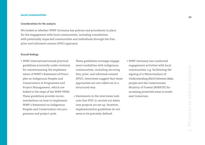#### <span id="page-28-0"></span>**Local communities**

#### **Considerations for the analysis**

We looked at whether WWF Germany has policies and procedures in place for the engagement with local communities, including consultation with potentially impacted communities and individuals through the free, prior and informed consent (FPIC) approach.

#### **Overall findings**

• WWF International issued practical guidelines (currently under revision) for mainstreaming the implementation of WWF's Statement of Principles on Indigenous Peoples and Conservation in Programme and Project Management, which are linked to the steps of the WWF PPMS. These guidelines provide recommendations on how to implement WWF's Statement on Indigenous Peoples and Conservation into programme and project cycle.

These guidelines envisage engagement modalities with indigenous communities, including securing free, prior, and informed consent (FPIC). Interviews suggest that these approaches are not rolled out in a structured way.

- Statements in the interviews indicate that FPIC is carried out when new projects are set up. However, implementation guidelines do not seem to be precisely defined.
- WWF Germany has conducted engagement activities with local communities, e.g. facilitating the signing of a Memorandum of Understanding (MoU) between Baka people and the Cameroonian Ministry of Forests (MINFOF) for accessing protected areas in southeast Cameroon.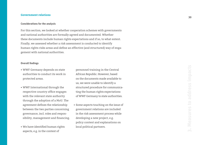#### <span id="page-29-0"></span>**Government relations**

#### **Considerations for the analysis**

For this section, we looked at whether cooperation schemes with governments and national authorities are formally agreed and documented. Whether these documents include human rights expectations and if so, to what extent. Finally, we assessed whether a risk assessment is conducted to identify human rights risks areas and define an effective (and structured) way of enga gement with national authorities.

#### **Overall findings**

- WWF Germany depends on state authorities to conduct its work in protected areas.
- WWF International through the respective country office engages with the relevant state authority through the adoption of a MoU. The agreement defines the relationship between the two parties concerning governance, incl. roles and responsibility, management and financing.
- We have identified human rights aspects, e.g. in the context of

personnel training in the Central African Republic. However, based on the documents made available to us, we were unable to identify a structured procedure for communicating the human rights expectations of WWF Germany to state authorities.

• Some aspects touching on the issue of government relations are included in the risk assessment process while developing a new project, e.g. policy context and explanations on local political partners.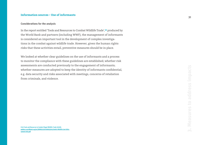#### <span id="page-30-0"></span>**Information sources – Use of informants**

#### **Considerations for the analysis**

In the report entitled 'Tools and Resources to Combat Wildlife Trade',**16** produced by the World Bank and partners (including WWF), the management of informants is considered an important tool in the development of complex investigations in the combat against wildlife trade. However, given the human rights risks that these activities entail, preventive measures should be in place.

We looked at whether clear guidelines on the use of informants and a process to monitor the compliance with these guidelines are established; whether risk assessments are conducted previously to the engagement of informants; whether measures are adopted to keep the identity of informants confidential, e.g. data security and risks associated with meetings, concerns of retaliation from criminals, and violence.

**↘16 Tools and Resources to Combat Illegal Wildlife Trade (2018): [pubdocs.worldbank.org/en/389851519769693304/24691-Wildlife-Law-Enfor](http://pubdocs.worldbank.org/en/389851519769693304/24691-Wildlife-Law-Enforcement-002.pdf) [cement-002.pdf](http://pubdocs.worldbank.org/en/389851519769693304/24691-Wildlife-Law-Enforcement-002.pdf)**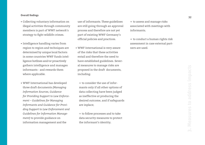#### **Overall findings**

- Collecting voluntary information on illegal activities through community members is part of WWF network's strategy to fight wildlife crimes.
- Intelligence handling varies from region to region and techniques are determined by unique local factors: in some countries WWF funds intelligence hotlines and/or proactively gathers intelligence and manages informants - and rewards them where applicable.
- WWF International has developed three draft documents *(Managing Information Sources, Guidance for Providing Support to Law Enforcement – Guidelines for Managing Informants and Guidance for Providing Support to Law Enforcement and Guidelines for Information Management)* to provide guidance on information management and the

use of informants. These guidelines are still going through an approval process and therefore are not yet part of existing WWF Germany's official policies and practices.

- WWF International is very aware of the risks that these activities entail and therefore the need to have established guidelines. Several measures to manage risks are proposed in the draft documents, including:
	- $\rightarrow$  to consider the use of informants only if all other options of data collecting have been judged as ineffective at producing the desired outcome, and if safeguards are inplace;

→ to follow processes and to take data security measures to protect the informant's identity;

 $\rightarrow$  to assess and manage risks associated with meetings with informants;

 $\rightarrow$  to conduct a human rights risk assessment in case external partners are used.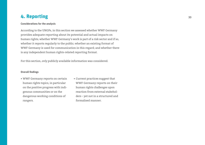### <span id="page-32-0"></span>**4. Reporting 33**

#### **Considerations for the analysis**

According to the UNGPs, in this section we assessed whether WWF Germany provides adequate reporting about its potential and actual impacts on human rights; whether WWF Germany's work is part of a risk sector and if so, whether it reports regularly to the public; whether an existing format of WWF Germany is used for communication in this regard; and whether there is any independent human rights-related reporting format.

For this section, *only* publicly available information was considered.

#### **Overall findings**

- WWF Germany reports on certain human rights topics, in particular on the positive progress with indigenous communities or on the dangerous working conditions of rangers.
- Current practices suggest that WWF Germany reports on their human rights challenges upon reaction from external stakeholders – yet not in a structured and formalised manner.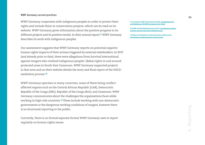#### **WWF Germany current practices**

WWF Germany cooperates with indigenous peoples in order to protect their rights and include them in conservation projects, which can be read on its website. WWF Germany gives information about the positive progress in its different projects and its positive results. In their annual report,**17** WWF Germany describes its work with indigenous peoples.

Our assessment suggests that WWF Germany reports on potential negative human rights impacts of their actions triggered by external stakeholders. In 2017 (and already prior to that), there were allegations from Survival International against rangers who violated indigenous peoples' (Baka) rights in and around protected areas in South-East Cameroon. WWF Germany supported projects in that area and on their website details the story and final report of the OECDmediation process.**18**

WWF Germany operates in many countries, some of them being conflictaffected regions such as the Central African Republic (CAR), Democratic Republic of the Congo (DRC), Republic of the Congo (RoC), and Cameroon. WWF Germany communicates about the challenges the organisations faces while working in high-risk countries.**19** These include working with non-democratic governments or the dangerous working conditions of rangers, however there is no structured reporting to the public.

Currently, there is no formal separate format WWF Germany uses to report regularly on human rights issues.

**↘17 Jahresbericht WWF Deutschland 2017/2018: [wwf.de/fileadmin/fm](https://www.wwf.de/fileadmin/fm-wwf/Publikationen-PDF/WWF-Jahresbericht-2017-18.pdf)[wwf/Publikationen-PDF/WWF-Jahresbericht-2017-18.pdf](https://www.wwf.de/fileadmin/fm-wwf/Publikationen-PDF/WWF-Jahresbericht-2017-18.pdf)**

**↘18 WWF zum OECD-Mediationsprozess (2017): [wwf.de/themen-projekte/](https://www.wwf.de/themen-projekte/menschen-und-naturschutz/oecd-mediationsprozess/) [menschen-und-naturschutz/oecd-mediationsprozess/](https://www.wwf.de/themen-projekte/menschen-und-naturschutz/oecd-mediationsprozess/)**

**↘19 Über die Vereinbarkeit von Menschenrechten und Naturschutz: [wwf.de/themen-projekte/menschen-und-naturschutz/](https://www.wwf.de/themen-projekte/menschen-und-naturschutz/)**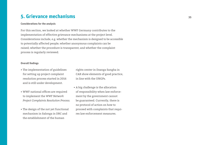### <span id="page-34-0"></span>**5. Grievance mechanisms <sup>35</sup>**

#### **Considerations for the analysis**

For this section, we looked at whether WWF Germany contributes to the implementation of effective grievance mechanisms at the project level. Considerations include, e.g. whether the mechanism is designed to be accessible to potentially affected people; whether anonymous complaints can be raised; whether the procedure is transparent; and whether the complaint process is regularly reviewed.

#### **Overall findings**

- The implementation of guidelines for setting up project complaint resolution process started in 2016 and is still under development.
- WWF national offices are required to implement the *WWF Network Project Complaints Resolution Process.*
- The design of the not yet functional mechanism in Salonga in DRC and the establishment of the human

rights center in Dzanga Sangha in CAR show elements of good practice, in line with the UNGPs.

• A big challenge is the allocation of responsibility when law enforcement by the government cannot be guaranteed. Currently, there is no protocol of action on how to proceed with complaints that requires law enforcement measures.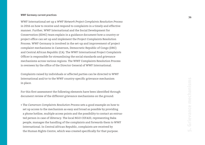#### **WWF Germany current practices**

WWF International set up a *WWF Network Project Complaints Resolution Process* in 2016 on how to receive and respond to complaints in a timely and effective manner. Further, WWF International and the Social Development for Conservation (SD4C) team explain in a guidance document how a country or project office can set up and implement the Project Complaints Resolution Process. WWF Germany is involved in the set-up and improvement of project complaint mechanisms in Cameroon, Democratic Republic of Congo (DRC) and Central African Republic (CA). The WWF International Project Complaints Officer is responsible for streamlining the social standards and grievance mechanisms across various regions. The WWF Complaints Resolution Process is overseen by the office of the Director General of WWF International.

Complaints raised by individuals or affected parties can be directed to WWF International and/or to the WWF country-specific grievance mechanism in place.

For this first assessment the following elements have been identified through document review of the different grievance mechanisms on the ground:

• The *Cameroon Complaints Resolution Process* sets a good example on how to set up access to the mechanism as easy and broad as possible by providing a phone hotline, multiple access points and the possibility to contact an entrusted person in case of illiteracy. The local NGO CEFAID, representing Baka people, manages the handling of the complaints and forwards them to WWF International. In Central African Republic, complaints are received by the Human Rights Centre, which was created specifically for that purpose.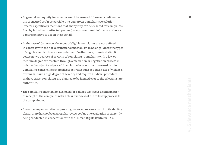- In general, anonymity for groups cannot be ensured. However, confidentia- **37** lity is ensured as far as possible. The Cameroon Complaints Resolution Process especifically mentions that anonymity can be ensured for complaints filed by individuals. Affected parties (groups, communities) can also choose a representative to act on their behalf.
- In the case of Cameroon, the types of eligible complaints are not defined. In contrast with the not yet functional mechanism in Salonga, where the types of eligible complaints are clearly defined. Furthermore, there is distinction between two degrees of severity of complaints. Complaints with a low or medium degree are resolved through a mediation or negotiation process in order to find a joint and peaceful resolution between the concerned parties. Complaints concerning severe illegal activities such as abuses, use of violence, or similar, have a high degree of severity and require a judicial procedure. In those cases, complaints are planned to be handed over to the relevant state authorities.
- The complaints mechanism designed for Salonga envisages a confirmation of receipt of the complaint with a clear overview of the follow up process to the complainant.
- Since the implementation of project grievance processes is still in its starting phase, there has not been a regular review so far. One evaluation is currently being conducted in cooperation with the Human Rights Centre in CAR.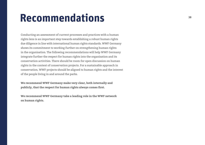## <span id="page-37-0"></span>**Recommendations**

Conducting an assessment of current processes and practices with a human rights lens is an important step towards establishing a robust human rights due diligence in line with international human rights standards. WWF Germany shows its commitment to working further on strengthening human rights in the organisation. The following recommendations will help WWF Germany integrate further the respect for human rights into the organisation and its conservation activities. There should be room for open discussion on human rights in the context of conservation projects. For a sustainable approach in conservation, WWF projects should be aligned to human rights and the interest of the people living in and around the parks.

**We recommend WWF Germany make very clear, both internally and publicly, that the respect for human rights always comes first.**

**We recommend WWF Germany take a leading role in the WWF network on human rights.**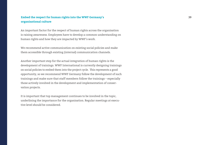#### **Embed the respect for human rights into the WWF Germany's 39 organisational culture**

An important factor for the respect of human rights across the organisation is raising awareness. Employees have to develop a common understanding on human rights and how they are impacted by WWF's work.

We recommend active communication on existing social policies and make them accessible through existing (internal) communication channels.

Another important step for the actual integration of human rights is the development of trainings. WWF International is currently designing trainings on social policies to embed them into the project cycle. This represents a good opportunity, so we recommend WWF Germany follow the development of such trainings and make sure that staff members follow the trainings – especially those actively involved in the development and implementation of conservation projects.

It is important that top management continues to be involved in the topic, underlining the importance for the organisation. Regular meetings at executive level should be considered.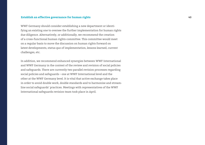#### **Establish an effective governance for human rights 40**

WWF Germany should consider establishing a new department or identifying an existing one to oversee the further implementation for human rights due diligence. Alternatively, or additionally, we recommend the creation of a cross-functional human rights committee. This committee would meet on a regular basis to move the discussion on human rights forward on latest developments, status quo of implementation, lessons learned, current challenges, etc.

In addition, we recommend enhanced synergies between WWF International and WWF Germany in the context of the review and revision of social policies and safeguards. There are currently two parallel revision processes regarding social policies and safeguards – one at WWF International level and the other at the WWF Germany level. It is vital that active exchange takes place in order to avoid double work, double standards and to harmonise and streamline social safeguards' practices. Meetings with representatives of the WWF International safeguards revision team took place in April.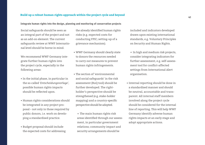### **<sup>41</sup> Build up a robust human rights approach within the project cycle and beyond**

#### **Integrate human rights into the design, planning and monitoring of conservation projects**

Social safeguards should be seen as an integral part of the project and not as an add-on element. The current safeguards review at WWF International level should be borne in mind.

We recommend WWF Germany integrate further human rights into the project cycle, especially in the following areas:

- In the initial phase, in particular in the so-called *'Entscheidungsvorlage'*, possible human rights impacts should be reflected upon.
- Human rights considerations should be integrated in any project proposal – not only in those required by public donors, i.e. work on developing a standardised practice.
- Budget proposal should include the expected costs for addressing

the already identified human rights risks (e.g. expected costs for conducting FPIC; setting-up of a grievance mechanism).

- WWF Germany should clearly state to donors the resources needed to carry out measures to prevent human rights infringements.
- The section of 'environmental and social safeguards' in the risk assessment (RuQ tool) should be further developed. The rightholder's perspective should be strengthened (e.g. stake-holder mapping) and a country-specific perspective should be adopted.
	- $\rightarrow$  The main human rights risk areas identified through our assessment, in particular government relations; community impact and security arrangements should be

included and indicators developed drawn upon existing international standards, e.g. Voluntary Principles on Security and Human Rights.

- $\rightarrow$  In high and medium risk projects, consider integrating indicators for further assessment, e.g. self-assessment tool for conflict-affected settings from International Alert organisation.
- Internal reporting should be done in a standardised manner and should be neutral, accountable and transparent. All internal staff members involved along the project cycle should be considered for the internal line of reporting. This will help WWF Germany identify adverse human rights impacts at an early stage and adopt appropriate actions.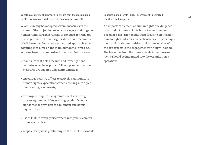#### **Develop a consistent approach to ensure that the main human rights risk areas are addressed in conservation projects**

WWF Germany has adopted several measures in the context of the project in protected areas, e.g. trainings on human rights for rangers, code of conducts for rangers, investigations on human rights abuses. We recommend WWF Germany find a more structured approach when adopting measures on the main human risk areas, i.e. working towards standardised practices. For instance:

- make sure that field research and investigations commissioned have proper follow-up and mitigation measures are adopted and communicated;
- encourage country offices to actively communicate human rights expectations when entering into agreements with governments;
- for rangers: require background checks in hiring processes; human rights trainings; code of conduct, standards for provision of equipment and bonus payments, etc.;
- use of FPIC in every project where indigenous communities are involved;
- adopt a clear public positioning on the use of informants.

#### **Conduct human rights impact assessment in selected countries and projects**

An important element of human rights due diligence is to conduct human rights impact assessment on a regular basis. They should start focusing on the high human rights risk areas (in particular, security management and local communities) and countries. One of the key aspects is the engagement with right-holders. The learnings from the human rights impact assessments should be integrated into the organisation's operations.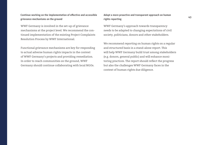#### **Continue working on the implementation of effective and accessible grievance mechanisms on the ground**

WWF Germany is involved in the set-up of grievance mechanisms at the project level. We recommend the continued implementation of the existing Project Complaints Resolution Process by WWF International.

Functional grievance mechanisms are key for responding to actual adverse human rights impacts in the context of WWF Germany's projects and providing remediation. In order to reach communities on the ground, WWF Germany should continue collaborating with local NGOs.

#### **Adopt a more proactive and transparent approach on human rights reporting**

WWF Germany's approach towards transparency needs to be adapted to changing expectations of civil society, politicians, donors and other stakeholders.

We recommend reporting on human rights on a regular and structured basis in a stand-alone report. This will help WWF Germany build trust among stakeholders (e.g. donors, general public) and will enhance monitoring practices. The report should reflect the progress but also the challenges WWF Germany faces in the context of human rights due diligence.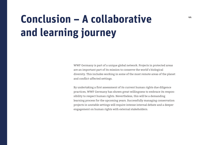## <span id="page-43-0"></span>**<sup>44</sup> Conclusion – A collaborative and learning journey**

WWF Germany is part of a unique global network. Projects in protected areas are an important part of its mission to conserve the world's biological diversity. This includes working in some of the most remote areas of the planet and conflict-affected settings.

By undertaking a first assessment of its current human rights due diligence practices, WWF Germany has shown great willingness to embrace its responsibility to respect human rights. Nevertheless, this will be a demanding learning process for the upcoming years. Successfully managing conservation projects in unstable settings will require intense internal debate and a deeper engagement on human rights with external stakeholders.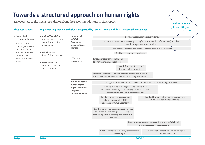## **Towards a structured approach on human rights**

An overview of the next steps, drawn from the recommendations in this report.

#### **First assessment Implementing recommendations, supported by Löning – Human Rights & Responsible Business**

Regular meetings at executive level Raise employee's awareness e.g. through communication of (reviewed) policies, conducting workshops, trainings Good practice sharing and lessons learned within WWF Network Merge the safeguards review/implementation with WWF International/network; consider external requirements Integrate human rights into the design, planning and monitoring of projects Staff day – human rights focus **• Report incl. recommendations** Human rights due diligence WWF Germany, focus: wildlife conservation projects/ specific protected areas **• Kick-Off Workshop:** Onboarding, overview operating activites, risk mapping **• Prioritisation** for defining next steps **•** Possible consideration of further areas of WWF's work **Human rights in WWF Germany's organisational culture Effective governance Build up a robust human rights approach within the project cycle and beyond** Establish/ identify department to oversee due diligence process Establish a cross-functional human rights committee Develop a consistent approach to ensure that the main human rights risk areas are addressed in conservation projects in national parks Conduct human rights impact assessment in selected countries/ projects Further (in-depth) assessment of current overall HRDD processes of WWF Germany Further (in-depth) assessment of current grievance mechanism processes implemented by WWF Germany and other WWF entities Good practice sharing between the projects/WWF Network on grievance mechanisms Establish internal reporting structures on human rights Start public reporting on human rights on a regular basis **2019 2020 ff >> 2019**

**Leaders in human rights due diligence**

**>>**